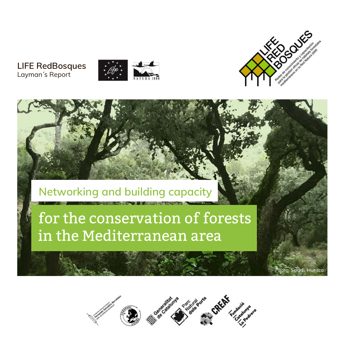#### **LIFE RedBosques** Layman´s Report





*Photo: Sela E. Huesca*

## **Networking and building capacity**

# for the conservation of forests in the Mediterranean area

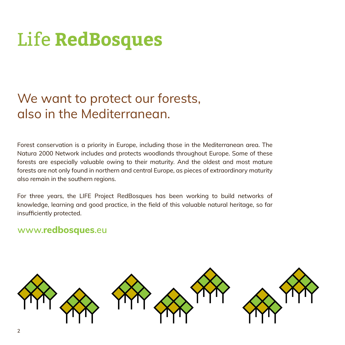# Life **RedBosques**

# We want to protect our forests, also in the Mediterranean.

Forest conservation is a priority in Europe, including those in the Mediterranean area. The Natura 2000 Network includes and protects woodlands throughout Europe. Some of these forests are especially valuable owing to their maturity. And the oldest and most mature forests are not only found in northern and central Europe, as pieces of extraordinary maturity also remain in the southern regions.

For three years, the LIFE Project RedBosques has been working to build networks of knowledge, learning and good practice, in the field of this valuable natural heritage, so far insufficiently protected.

#### **www.redbosques.eu**

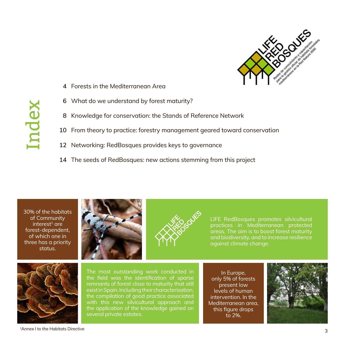

- Forests in the Mediterranean Area **4**
- What do we understand by forest maturity? **6**
- Knowledge for conservation: the Stands of Reference Network **8**
- From theory to practice: forestry management geared toward conservation **10**
- 12 Networking: RedBosques provides keys to governance
- The seeds of RedBosques: new actions stemming from this project **14**

30% of the habitats of Community  $interest<sup>1</sup>$  are forest-dependent, of which one in three has a priority status.





LIFE RedBosques promotes silvicultural practices in Mediterranean protected areas. The aim is to boost forest maturity and biodiversity, and to increase resilience against climate change.



The most outstanding work conducted in the field was the identification of sparse remnants of forest close to maturity that still exist in Spain. Including their characterisation, the compilation of good practice associated with this new silvicultural approach and the application of the knowledge gained on several private estates.

In Europe, only 5% of forests present low levels of human intervention. In the Mediterranean area, this figure drops to 2%.



# Index

1Annex I to the Habitats Directive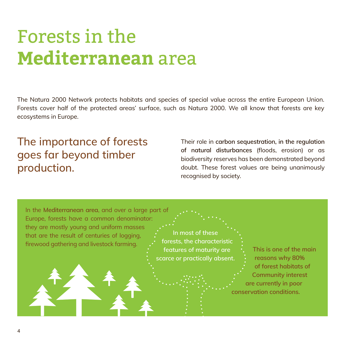# Forests in the **Mediterranean** area

The Natura 2000 Network protects habitats and species of special value across the entire European Union. Forests cover half of the protected areas' surface, such as Natura 2000. We all know that forests are key ecosystems in Europe.

### The importance of forests goes far beyond timber production.

Their role in **carbon sequestration, in the regulation of natural disturbances** (floods, erosion) or as biodiversity reserves has been demonstrated beyond doubt. These forest values are being unanimously recognised by society.

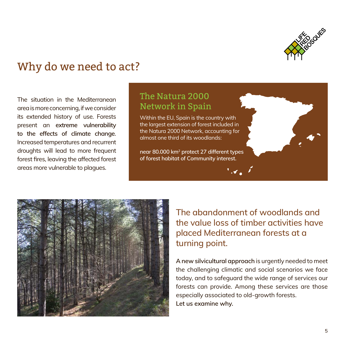

### Why do we need to act?

The situation in the Mediterranean area is more concerning, if we consider its extended history of use. Forests present an **extreme vulnerability to the effects of climate change**. Increased temperatures and recurrent droughts will lead to more frequent forest fires, leaving the affected forest areas more vulnerable to plagues.

#### The Natura 2000 Network in Spain

Within the EU, Spain is the country with the largest extension of forest included in the Natura 2000 Network, accounting for almost one third of its woodlands:

**near 80.000 km2 protect 27 different types of forest habitat of Community interest.**



The abandonment of woodlands and the value loss of timber activities have placed Mediterranean forests at a turning point.

**A new silvicultural approach** is urgently needed to meet the challenging climatic and social scenarios we face today, and to safeguard the wide range of services our forests can provide. Among these services are those especially associated to old-growth forests. **Let us examine why.**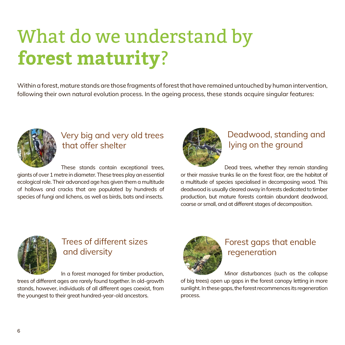# What do we understand by **forest maturity**?

Within a forest, mature stands are those fragments of forest that have remained untouched by human intervention, following their own natural evolution process. In the ageing process, these stands acquire singular features:



#### Very big and very old trees that offer shelter

 These stands contain exceptional trees, giants of over 1 metre in diameter. These trees play an essential ecological role. Their advanced age has given them a multitude of hollows and cracks that are populated by hundreds of species of fungi and lichens, as well as birds, bats and insects.



#### Deadwood, standing and lying on the ground

 Dead trees, whether they remain standing or their massive trunks lie on the forest floor, are the habitat of a multitude of species specialised in decomposing wood. This deadwood is usually cleared away in forests dedicated to timber production, but mature forests contain abundant deadwood, coarse or small, and at different stages of decomposition.



#### Trees of different sizes and diversity

In a forest managed for timber production,

trees of different ages are rarely found together. In old-growth stands, however, individuals of all different ages coexist, from the youngest to their great hundred-year-old ancestors.



#### Forest gaps that enable regeneration

 Minor disturbances (such as the collapse of big trees) open up gaps in the forest canopy letting in more sunlight. In these gaps, the forest recommences its regeneration process.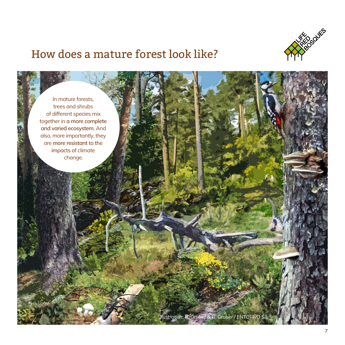

### How does a mature forest look like?

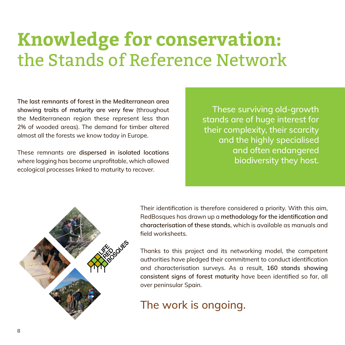# **Knowledge for conservation:**  the Stands of Reference Network

**The last remnants of forest in the Mediterranean area showing traits of maturity are very few** (throughout the Mediterranean region these represent less than 2% of wooded areas). The demand for timber altered almost all the forests we know today in Europe.

These remnants are **dispersed in isolated locations**  where logging has become unprofitable, which allowed ecological processes linked to maturity to recover.

These surviving old-growth stands are of huge interest for their complexity, their scarcity and the highly specialised and often endangered biodiversity they host.



Their identification is therefore considered a priority. With this aim, RedBosques has drawn up a **methodology for the identification and characterisation of these stands**, which is available as manuals and field worksheets.

Thanks to this project and its networking model, the competent authorities have pledged their commitment to conduct identification and characterisation surveys. As a result, **160 stands showing consistent signs of forest maturity** have been identified so far, all over peninsular Spain.

The work is ongoing.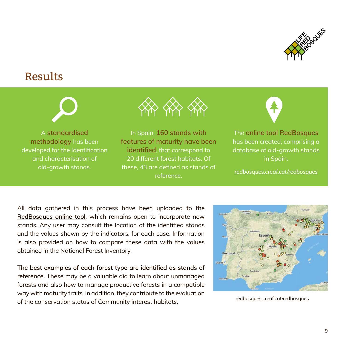

### Results



A **standardised methodology** has been developed for the Identification and characterisation of old-growth stands.



In Spain, **160 stands with features of maturity have been identified**, that correspond to 20 different forest habitats. Of these, 43 are defined as stands of reference.



The **online tool RedBosques** has been created, comprising a database of old-growth stands in Spain.

*[redbosques.creaf.cat/redbosques](http://redbosques.creaf.cat/redbosques/)*

All data gathered in this process have been uploaded to the **[RedBosques](http://redbosques.creaf.cat/redbosques/) online tool**, which remains open to incorporate new stands. Any user may consult the location of the identified stands and the values shown by the indicators, for each case. Information is also provided on how to compare these data with the values obtained in the National Forest Inventory.

**The best examples of each forest type are identified as stands of reference.** These may be a valuable aid to learn about unmanaged forests and also how to manage productive forests in a compatible way with maturity traits. In addition, they contribute to the evaluation of the conservation status of Community interest habitats.



[redbosques.creaf.cat/redbosques](http://redbosques.creaf.cat/redbosques/)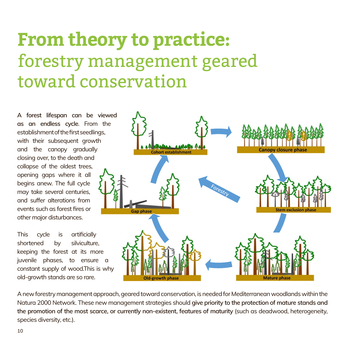# **From theory to practice:**  forestry management geared toward conservation

**A forest lifespan can be viewed as an endless cycle**. From the establishment of the first seedlings, with their subsequent growth and the canopy gradually closing over, to the death and collapse of the oldest trees, opening gaps where it all begins anew. The full cycle may take several centuries, and suffer alterations from events such as forest fires or other major disturbances.

This cycle is artificially shortened by silviculture. keeping the forest at its more juvenile phases, to ensure a constant supply of wood.This is why old-growth stands are so rare.



A new forestry management approach, geared toward conservation, is needed for Mediterranean woodlands within the Natura 2000 Network. These new management strategies should **give priority to the protection of mature stands and the promotion of the most scarce, or currently non-existent, features of maturity** (such as deadwood, heterogeneity, species diversity, etc.).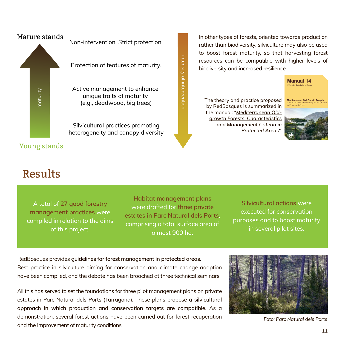

In other types of forests, oriented towards production rather than biodiversity, silviculture may also be used to boost forest maturity, so that harvesting forest resources can be compatible with higher levels of biodiversity and increased resilience.

The theory and practice proposed by RedBosques is summarized in the manual: "*[Mediterranean Old](http://www.redeuroparc.org/system/files/shared/Publicaciones/manual14_eng.pdf)[growth Forests: Characteristics](http://www.redeuroparc.org/system/files/shared/Publicaciones/manual14_eng.pdf)  [and Management Criteria in](http://www.redeuroparc.org/system/files/shared/Publicaciones/manual14_eng.pdf)  [Protected Areas](http://www.redeuroparc.org/system/files/shared/Publicaciones/manual14_eng.pdf)*".



[Manual 14]( 
http://www.redeuroparc.org/system/files/shared/Publicaciones/manual14_eng.pdf) EUROPARC-Spain Series of Manuals

Characteristics and Management Criteria in Protected Areas



### Results

A total of **27 good forestry management practices** were compiled in relation to the aims of this project.

**Habitat management plans**  were drafted for **three private estates in Parc Natural dels Ports**, comprising a total surface area of almost 900 ha.

intensity of intervention

intensity of intervention intensity of intervention

> **Silvicultural actions** were executed for conservation purposes and to boost maturity in several pilot sites.

RedBosques provides **guidelines for forest management in protected areas**. Best practice in silviculture aiming for conservation and climate change adaption have been compiled, and the debate has been broached at three technical seminars.

All this has served to set the foundations for three pilot management plans on private estates in Parc Natural dels Ports (Tarragona). These plans propose **a silvicultural approach in which production and conservation targets are compatible**. As a demonstration, several forest actions have been carried out for forest recuperation and the improvement of maturity conditions.



*Foto: Parc Natural dels Ports*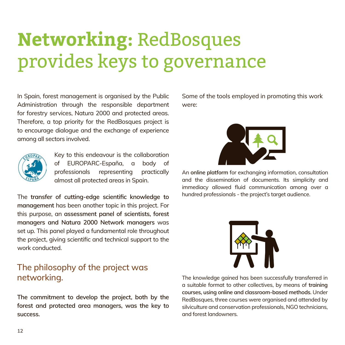# **Networking:** RedBosques provides keys to governance

In Spain, forest management is organised by the Public Administration through the responsible department for forestry services, Natura 2000 and protected areas. Therefore, a top priority for the RedBosques project is to encourage dialogue and the exchange of experience among all sectors involved.



Key to this endeavour is the collaboration of EUROPARC-España, a body of professionals representing practically almost all protected areas in Spain.

The **transfer of cutting-edge scientific knowledge to management** has been another topic in this project. For this purpose, an **assessment panel of scientists, forest managers and Natura 2000 Network managers** was set up. This panel played a fundamental role throughout the project, giving scientific and technical support to the work conducted.

#### The philosophy of the project was networking.

**The commitment to develop the project, both by the forest and protected area managers, was the key to success.** 

Some of the tools employed in promoting this work were:



An **online platform** for exchanging information, consultation and the dissemination of documents. Its simplicity and immediacy allowed fluid communication among over a hundred professionals - the project's target audience.



The knowledge gained has been successfully transferred in a suitable format to other collectives, by means of **training courses, using online and classroom-based methods**. Under RedBosques, three courses were organised and attended by silviculture and conservation professionals, NGO technicians, and forest landowners.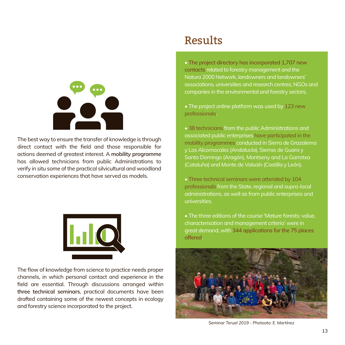

The best way to ensure the transfer of knowledge is through direct contact with the field and those responsible for actions deemed of greatest interest. A **mobility programme**  has allowed technicians from public Administrations to verify *in situ* some of the practical silvicultural and woodland conservation experiences that have served as models.



The flow of knowledge from science to practice needs proper channels, in which personal contact and experience in the field are essential. Through discussions arranged within **three technical seminars**, practical documents have been drafted containing some of the newest concepts in ecology and forestry science incorporated to the project.

### Results

• **The project directory has incorporated 1,707 new contacts** related to forestry management and the Natura 2000 Network, landowners and landowners' associations, universities and research centres, NGOs and companies in the environmental and forestry sectors.

• The project online platform was used by 123 new professionals.

• 38 technicians from the public Administrations and associated public enterprises have participated in the mobility programmes conducted in Sierra de Grazalema y Los Alcornocales (Andalucía), Sierras de Guara y Santo Domingo (Aragón), Montseny and La Garrotxa (Cataluña) and Monte de Valsaín (Castilla y León).

• Three technical seminars were attended by 104 professionals from the State, regional and supra-local administrations, as well as from public enterprises and universities.

• The three editions of the course 'Mature forests: value, characterisation and management criteria' were in great demand, with **344 applications for the 75 places offered**.



*Seminar Teruel 2019 - Photooto: E. Martínez*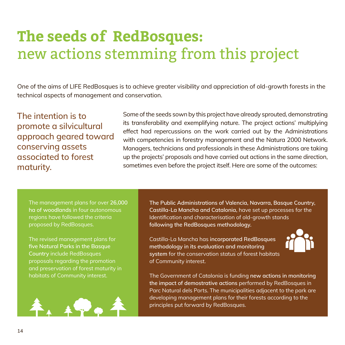# **The seeds of RedBosques:**  new actions stemming from this project

One of the aims of LIFE RedBosques is to achieve greater visibility and appreciation of old-growth forests in the technical aspects of management and conservation.

The intention is to promote a silvicultural approach geared toward conserving assets associated to forest maturity.

Some of the seeds sown by this project have already sprouted, demonstrating its transferability and exemplifying nature. The project actions' multiplying effect had repercussions on the work carried out by the Administrations with competencies in forestry management and the Natura 2000 Network. Managers, technicians and professionals in these Administrations are taking up the projects' proposals and have carried out actions in the same direction, sometimes even before the project itself. Here are some of the outcomes:

The management plans for over **26,000 ha of woodlands** in four autonomous regions have followed the criteria proposed by RedBosques.

The revised management plans for **five Natural Parks in the Basque Country** include RedBosques proposals regarding the promotion and preservation of forest maturity in habitats of Community interest.



**The Public Administrations of Valencia, Navarra, Basque Country, Castilla-La Mancha and Catalonia,** have set up processes for the Identification and characterisation of old-growth stands **following the RedBosques methodology.**

Castilla-La Mancha has **incorporated RedBosques methodology in its evaluation and monitoring system** for the conservation status of forest habitats of Community interest.



The Government of Catalonia is funding **new actions in monitoring the impact of demostrative actions** performed by RedBosques in Parc Natural dels Ports. The municipalities adjacent to the park are developing management plans for their forests according to the principles put forward by RedBosques.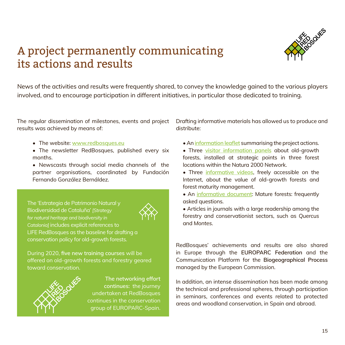### A project permanently communicating its actions and results



News of the activities and results were frequently shared, to convey the knowledge gained to the various players involved, and to encourage participation in different initiatives, in particular those dedicated to training.

The regular dissemination of milestones, events and project results was achieved by means of:

- The website: **<www.redbosques.eu>**
- The newsletter RedBosques, published every six months.
- Newscasts through social media channels of the partner organisations, coordinated by Fundación Fernando González Bernáldez.

The 'Estrategia de Patrimonio Natural y Biodiversidad de Cataluña' *[Strategy for natural heritage and biodiversity in Catalonia]* includes explicit references to LIFE RedBosques as the baseline for drafting a conservation policy for old-growth forests.



During 2020, **five new training courses** will be offered on old-growth forests and forestry geared toward conservation.



**The networking effort continues:** the journey undertaken at RedBosques continues in the conservation group of EUROPARC-Spain.

Drafting informative materials has allowed us to produce and distribute:

- An **[information leaflet](http://www.redbosques.eu/system/files/shared/REDBOSQUES/VersionIngles/facts_sheet_english%20corregido.pdf)** summarising the project actions.
- Three **[visitor information panels](http://www.redbosques.eu/system/files/shared/RedBosques/Materiales/panel%20valsain%20web.pdf)** about old-growth forests, installed at strategic points in three forest locations within the Natura 2000 Network.
- Three **[informative videos](http://www.redbosques.eu/resources)**, freely accessible on the Internet, about the value of old-growth forests and forest maturity management.
- An **[informative document](http://www.redbosques.eu/system/files/shared/REDBOSQUES/VersionIngles/FAQ_Mature%20Forests.pdf)**: Mature forests: frequently asked questions.
- Articles in journals with a large readership among the forestry and conservationist sectors, such as *Quercus* and *Montes*.

RedBosques' achievements and results are also shared in Europe through the **EUROPARC Federation** and the Communication Platform for the **Biogeographical Process** managed by the European Commission.

In addition, an intense dissemination has been made among the technical and professional spheres, through participation in seminars, conferences and events related to protected areas and woodland conservation, in Spain and abroad.